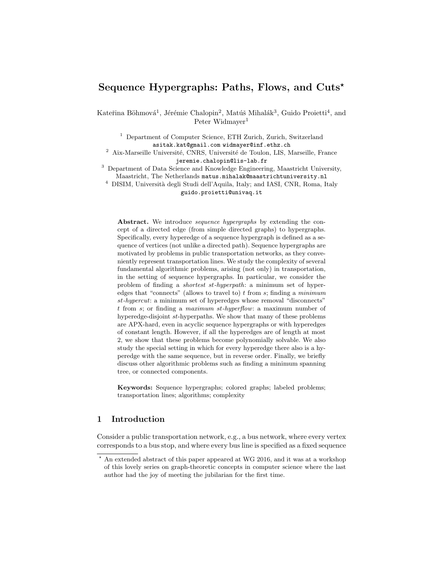# Sequence Hypergraphs: Paths, Flows, and Cuts<sup>\*</sup>

Kateřina Böhmová<sup>1</sup>, Jérémie Chalopin<sup>2</sup>, Matúš Mihalák<sup>3</sup>, Guido Proietti<sup>4</sup>, and Peter Widmayer<sup>1</sup>

<sup>1</sup> Department of Computer Science, ETH Zurich, Zurich, Switzerland asitak.kat@gmail.com widmayer@inf.ethz.ch

<sup>2</sup> Aix-Marseille Université, CNRS, Université de Toulon, LIS, Marseille, France jeremie.chalopin@lis-lab.fr

<sup>3</sup> Department of Data Science and Knowledge Engineering, Maastricht University, Maastricht, The Netherlands matus.mihalak@maastrichtuniversity.nl

<sup>4</sup> DISIM, Università degli Studi dell'Aquila, Italy; and IASI, CNR, Roma, Italy guido.proietti@univaq.it

Abstract. We introduce *sequence hypergraphs* by extending the concept of a directed edge (from simple directed graphs) to hypergraphs. Specifically, every hyperedge of a sequence hypergraph is defined as a sequence of vertices (not unlike a directed path). Sequence hypergraphs are motivated by problems in public transportation networks, as they conveniently represent transportation lines. We study the complexity of several fundamental algorithmic problems, arising (not only) in transportation, in the setting of sequence hypergraphs. In particular, we consider the problem of finding a shortest st-hyperpath: a minimum set of hyperedges that "connects" (allows to travel to)  $t$  from  $s$ ; finding a minimum st-hypercut: a minimum set of hyperedges whose removal "disconnects" t from s; or finding a maximum st-hyperflow: a maximum number of hyperedge-disjoint st-hyperpaths. We show that many of these problems are APX-hard, even in acyclic sequence hypergraphs or with hyperedges of constant length. However, if all the hyperedges are of length at most 2, we show that these problems become polynomially solvable. We also study the special setting in which for every hyperedge there also is a hyperedge with the same sequence, but in reverse order. Finally, we briefly discuss other algorithmic problems such as finding a minimum spanning tree, or connected components.

Keywords: Sequence hypergraphs; colored graphs; labeled problems; transportation lines; algorithms; complexity

# 1 Introduction

Consider a public transportation network, e.g., a bus network, where every vertex corresponds to a bus stop, and where every bus line is specified as a fixed sequence

<sup>?</sup> An extended abstract of this paper appeared at WG 2016, and it was at a workshop of this lovely series on graph-theoretic concepts in computer science where the last author had the joy of meeting the jubilarian for the first time.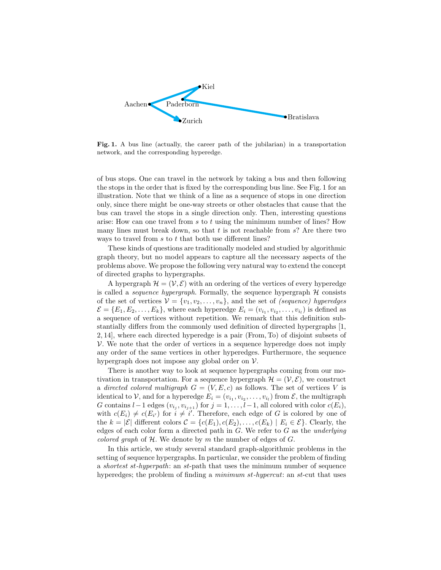

Fig. 1. A bus line (actually, the career path of the jubilarian) in a transportation network, and the corresponding hyperedge.

of bus stops. One can travel in the network by taking a bus and then following the stops in the order that is fixed by the corresponding bus line. See Fig. 1 for an illustration. Note that we think of a line as a sequence of stops in one direction only, since there might be one-way streets or other obstacles that cause that the bus can travel the stops in a single direction only. Then, interesting questions arise: How can one travel from s to t using the minimum number of lines? How many lines must break down, so that  $t$  is not reachable from  $s$ ? Are there two ways to travel from s to t that both use different lines?

These kinds of questions are traditionally modeled and studied by algorithmic graph theory, but no model appears to capture all the necessary aspects of the problems above. We propose the following very natural way to extend the concept of directed graphs to hypergraphs.

A hypergraph  $\mathcal{H} = (\mathcal{V}, \mathcal{E})$  with an ordering of the vertices of every hyperedge is called a *sequence hypergraph*. Formally, the sequence hypergraph  $H$  consists of the set of vertices  $V = \{v_1, v_2, \ldots, v_n\}$ , and the set of *(sequence) hyperedges*  $\mathcal{E} = \{E_1, E_2, \ldots, E_k\}$ , where each hyperedge  $E_i = (v_{i_1}, v_{i_2}, \ldots, v_{i_l})$  is defined as a sequence of vertices without repetition. We remark that this definition substantially differs from the commonly used definition of directed hypergraphs [1, 2, 14], where each directed hyperedge is a pair (From, To) of disjoint subsets of  $V$ . We note that the order of vertices in a sequence hyperedge does not imply any order of the same vertices in other hyperedges. Furthermore, the sequence hypergraph does not impose any global order on V.

There is another way to look at sequence hypergraphs coming from our motivation in transportation. For a sequence hypergraph  $\mathcal{H} = (\mathcal{V}, \mathcal{E})$ , we construct a directed colored multigraph  $G = (V, E, c)$  as follows. The set of vertices V is identical to V, and for a hyperedge  $E_i = (v_{i_1}, v_{i_2}, \ldots, v_{i_l})$  from  $\mathcal{E}$ , the multigraph G contains  $l-1$  edges  $(v_{i_j}, v_{i_{j+1}})$  for  $j = 1, \ldots, l-1$ , all colored with color  $c(E_i)$ , with  $c(E_i) \neq c(E_{i'})$  for  $i \neq i'$ . Therefore, each edge of G is colored by one of the  $k = |\mathcal{E}|$  different colors  $\mathcal{C} = \{c(E_1), c(E_2), \ldots, c(E_k) | E_i \in \mathcal{E}\}\)$ . Clearly, the edges of each color form a directed path in  $G$ . We refer to  $G$  as the *underlying colored graph* of  $H$ . We denote by m the number of edges of  $G$ .

In this article, we study several standard graph-algorithmic problems in the setting of sequence hypergraphs. In particular, we consider the problem of finding a shortest st-hyperpath: an st-path that uses the minimum number of sequence hyperedges; the problem of finding a *minimum st-hypercut*: an *st*-cut that uses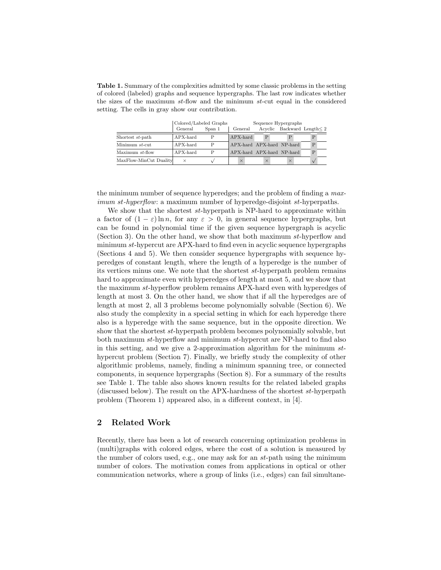Table 1. Summary of the complexities admitted by some classic problems in the setting of colored (labeled) graphs and sequence hypergraphs. The last row indicates whether the sizes of the maximum st-flow and the minimum st-cut equal in the considered setting. The cells in gray show our contribution.

|                        | Colored/Labeled Graphs |        | Sequence Hypergraphs      |          |          |                                  |
|------------------------|------------------------|--------|---------------------------|----------|----------|----------------------------------|
|                        | General                | Span 1 | General                   |          |          | Acyclic Backward Length $\leq 2$ |
| Shortest st-path       | $APX$ -hard            |        | $APX$ -hard               |          |          |                                  |
| Minimum st-cut         | $APX$ -hard            |        | APX-hard APX-hard NP-hard |          |          | P                                |
| Maximum st-flow        | $APX$ -hard            |        | APX-hard APX-hard NP-hard |          |          | P                                |
| MaxFlow-MinCut Duality | $\times$               |        | $\times$                  | $\times$ | $\times$ |                                  |

the minimum number of sequence hyperedges; and the problem of finding a maximum st-hyperflow: a maximum number of hyperedge-disjoint st-hyperpaths.

We show that the shortest  $st$ -hyperpath is NP-hard to approximate within a factor of  $(1 - \varepsilon) \ln n$ , for any  $\varepsilon > 0$ , in general sequence hypergraphs, but can be found in polynomial time if the given sequence hypergraph is acyclic (Section 3). On the other hand, we show that both maximum st-hyperflow and minimum st-hypercut are APX-hard to find even in acyclic sequence hypergraphs (Sections 4 and 5). We then consider sequence hypergraphs with sequence hyperedges of constant length, where the length of a hyperedge is the number of its vertices minus one. We note that the shortest st-hyperpath problem remains hard to approximate even with hyperedges of length at most 5, and we show that the maximum st-hyperflow problem remains APX-hard even with hyperedges of length at most 3. On the other hand, we show that if all the hyperedges are of length at most 2, all 3 problems become polynomially solvable (Section 6). We also study the complexity in a special setting in which for each hyperedge there also is a hyperedge with the same sequence, but in the opposite direction. We show that the shortest st-hyperpath problem becomes polynomially solvable, but both maximum st-hyperflow and minimum st-hypercut are NP-hard to find also in this setting, and we give a 2-approximation algorithm for the minimum sthypercut problem (Section 7). Finally, we briefly study the complexity of other algorithmic problems, namely, finding a minimum spanning tree, or connected components, in sequence hypergraphs (Section 8). For a summary of the results see Table 1. The table also shows known results for the related labeled graphs (discussed below). The result on the APX-hardness of the shortest st-hyperpath problem (Theorem 1) appeared also, in a different context, in [4].

#### 2 Related Work

Recently, there has been a lot of research concerning optimization problems in (multi)graphs with colored edges, where the cost of a solution is measured by the number of colors used, e.g., one may ask for an  $st$ -path using the minimum number of colors. The motivation comes from applications in optical or other communication networks, where a group of links (i.e., edges) can fail simultane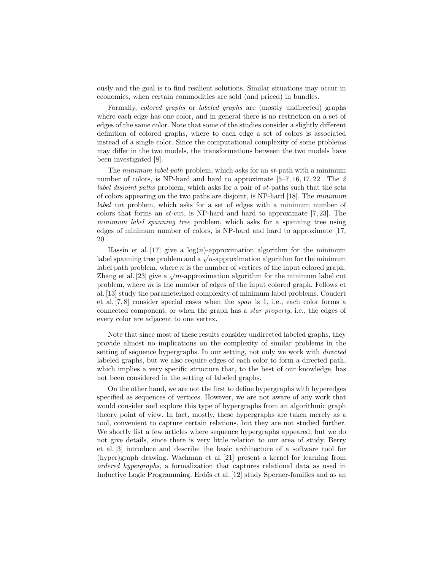ously and the goal is to find resilient solutions. Similar situations may occur in economics, when certain commodities are sold (and priced) in bundles.

Formally, colored graphs or labeled graphs are (mostly undirected) graphs where each edge has one color, and in general there is no restriction on a set of edges of the same color. Note that some of the studies consider a slightly different definition of colored graphs, where to each edge a set of colors is associated instead of a single color. Since the computational complexity of some problems may differ in the two models, the transformations between the two models have been investigated [8].

The *minimum label path* problem, which asks for an  $st$ -path with a minimum number of colors, is NP-hard and hard to approximate [5–7, 16, 17, 22]. The 2 label disjoint paths problem, which asks for a pair of st-paths such that the sets of colors appearing on the two paths are disjoint, is NP-hard [18]. The minimum label cut problem, which asks for a set of edges with a minimum number of colors that forms an  $st$ -cut, is NP-hard and hard to approximate  $[7, 23]$ . The minimum label spanning tree problem, which asks for a spanning tree using edges of minimum number of colors, is NP-hard and hard to approximate [17, 20].

Hassin et al. [17] give a  $log(n)$ -approximation algorithm for the minimum label spanning tree problem and a  $\sqrt{n}$ -approximation algorithm for the minimum label path problem, where  $n$  is the number of vertices of the input colored graph. Zhang et al. [23] give a  $\sqrt{m}$ -approximation algorithm for the minimum label cut problem, where  $m$  is the number of edges of the input colored graph. Fellows et al. [13] study the parameterized complexity of minimum label problems. Coudert et al. [7, 8] consider special cases when the span is 1, i.e., each color forms a connected component; or when the graph has a star property, i.e., the edges of every color are adjacent to one vertex.

Note that since most of these results consider undirected labeled graphs, they provide almost no implications on the complexity of similar problems in the setting of sequence hypergraphs. In our setting, not only we work with *directed* labeled graphs, but we also require edges of each color to form a directed path, which implies a very specific structure that, to the best of our knowledge, has not been considered in the setting of labeled graphs.

On the other hand, we are not the first to define hypergraphs with hyperedges specified as sequences of vertices. However, we are not aware of any work that would consider and explore this type of hypergraphs from an algorithmic graph theory point of view. In fact, mostly, these hypergraphs are taken merely as a tool, convenient to capture certain relations, but they are not studied further. We shortly list a few articles where sequence hypergraphs appeared, but we do not give details, since there is very little relation to our area of study. Berry et al. [3] introduce and describe the basic architecture of a software tool for (hyper)graph drawing. Wachman et al. [21] present a kernel for learning from ordered hypergraphs, a formalization that captures relational data as used in Inductive Logic Programming. Erdős et al. [12] study Sperner-families and as an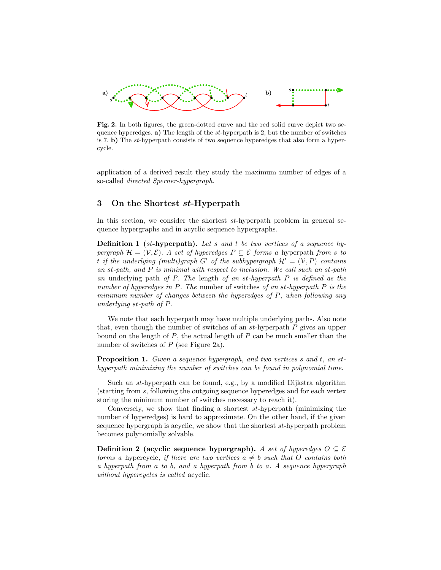

Fig. 2. In both figures, the green-dotted curve and the red solid curve depict two sequence hyperedges. a) The length of the  $st$ -hyperpath is 2, but the number of switches is 7. b) The st-hyperpath consists of two sequence hyperedges that also form a hypercycle.

application of a derived result they study the maximum number of edges of a so-called directed Sperner-hypergraph.

#### 3 On the Shortest st-Hyperpath

In this section, we consider the shortest st-hyperpath problem in general sequence hypergraphs and in acyclic sequence hypergraphs.

**Definition 1** (st-hyperpath). Let s and t be two vertices of a sequence hypergraph  $\mathcal{H} = (\mathcal{V}, \mathcal{E})$ . A set of hyperedges  $P \subseteq \mathcal{E}$  forms a hyperpath from s to t if the underlying (multi)graph G' of the subhypergraph  $\mathcal{H}' = (\mathcal{V}, P)$  contains an st-path, and P is minimal with respect to inclusion. We call such an st-path an underlying path of  $P$ . The length of an st-hyperpath  $P$  is defined as the number of hyperedges in P. The number of switches of an st-hyperpath P is the minimum number of changes between the hyperedges of  $P$ , when following any underlying st-path of P.

We note that each hyperpath may have multiple underlying paths. Also note that, even though the number of switches of an st-hyperpath P gives an upper bound on the length of  $P$ , the actual length of  $P$  can be much smaller than the number of switches of  $P$  (see Figure 2a).

Proposition 1. Given a sequence hypergraph, and two vertices s and t, an sthyperpath minimizing the number of switches can be found in polynomial time.

Such an st-hyperpath can be found, e.g., by a modified Dijkstra algorithm (starting from s, following the outgoing sequence hyperedges and for each vertex storing the minimum number of switches necessary to reach it).

Conversely, we show that finding a shortest st-hyperpath (minimizing the number of hyperedges) is hard to approximate. On the other hand, if the given sequence hypergraph is acyclic, we show that the shortest st-hyperpath problem becomes polynomially solvable.

**Definition 2** (acyclic sequence hypergraph). A set of hyperedges  $O \subseteq \mathcal{E}$ forms a hypercycle, if there are two vertices  $a \neq b$  such that O contains both a hyperpath from a to b, and a hyperpath from b to a. A sequence hypergraph without hypercycles is called acyclic.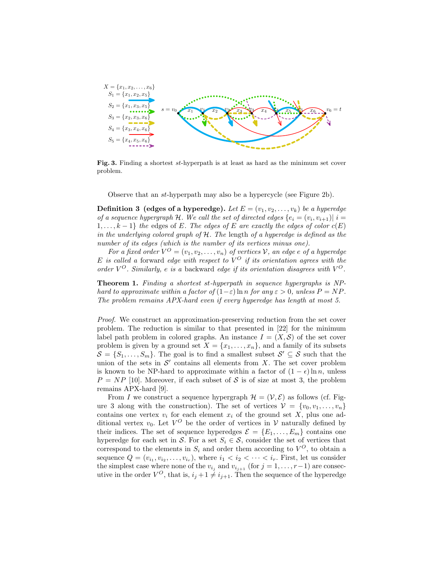

Fig. 3. Finding a shortest st-hyperpath is at least as hard as the minimum set cover problem.

Observe that an st-hyperpath may also be a hypercycle (see Figure 2b).

**Definition 3** (edges of a hyperedge). Let  $E = (v_1, v_2, \ldots, v_k)$  be a hyperedge of a sequence hypergraph H. We call the set of directed edges  $\{e_i = (v_i, v_{i+1}) | i =$  $1, \ldots, k-1$ } the edges of E. The edges of E are exactly the edges of color  $c(E)$ in the underlying colored graph of  $H$ . The length of a hyperedge is defined as the number of its edges (which is the number of its vertices minus one).

For a fixed order  $V^O = (v_1, v_2, \dots, v_n)$  of vertices  $\mathcal V$ , an edge e of a hyperedge E is called a forward edge with respect to  $V^O$  if its orientation agrees with the order  $V^O$ . Similarly, e is a backward edge if its orientation disagrees with  $V^O$ .

Theorem 1. Finding a shortest st-hyperpath in sequence hypergraphs is NPhard to approximate within a factor of  $(1-\varepsilon)$  ln n for any  $\varepsilon > 0$ , unless  $P = NP$ . The problem remains APX-hard even if every hyperedge has length at most 5.

Proof. We construct an approximation-preserving reduction from the set cover problem. The reduction is similar to that presented in [22] for the minimum label path problem in colored graphs. An instance  $I = (X, S)$  of the set cover problem is given by a ground set  $X = \{x_1, \ldots, x_n\}$ , and a family of its subsets  $S = \{S_1, \ldots, S_m\}$ . The goal is to find a smallest subset  $S' \subseteq S$  such that the union of the sets in  $\mathcal{S}'$  contains all elements from X. The set cover problem is known to be NP-hard to approximate within a factor of  $(1 - \epsilon) \ln n$ , unless  $P = NP$  [10]. Moreover, if each subset of S is of size at most 3, the problem remains APX-hard [9].

From I we construct a sequence hypergraph  $\mathcal{H} = (\mathcal{V}, \mathcal{E})$  as follows (cf. Figure 3 along with the construction). The set of vertices  $V = \{v_0, v_1, \ldots, v_n\}$ contains one vertex  $v_i$  for each element  $x_i$  of the ground set X, plus one additional vertex  $v_0$ . Let  $V^O$  be the order of vertices in V naturally defined by their indices. The set of sequence hyperedges  $\mathcal{E} = \{E_1, \ldots, E_m\}$  contains one hyperedge for each set in S. For a set  $S_i \in \mathcal{S}$ , consider the set of vertices that correspond to the elements in  $S_i$  and order them according to  $V^O$ , to obtain a sequence  $Q = (v_{i_1}, v_{i_2}, \dots, v_{i_r})$ , where  $i_1 < i_2 < \dots < i_r$ . First, let us consider the simplest case where none of the  $v_{i_j}$  and  $v_{i_{j+1}}$  (for  $j = 1, \ldots, r-1$ ) are consecutive in the order  $V^O$ , that is,  $i_j + 1 \neq i_{j+1}$ . Then the sequence of the hyperedge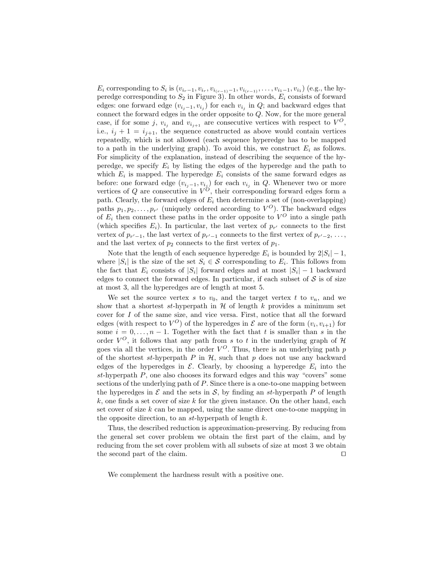$E_i$  corresponding to  $S_i$  is  $(v_{i_r-1}, v_{i_r}, v_{i_{(r-1)}-1}, v_{i_{(r-1)}}, \ldots, v_{i_1-1}, v_{i_1})$  (e.g., the hyperedge corresponding to  $S_2$  in Figure 3). In other words,  $E_i$  consists of forward edges: one forward edge  $(v_{i_j-1}, v_{i_j})$  for each  $v_{i_j}$  in  $Q$ ; and backward edges that connect the forward edges in the order opposite to Q. Now, for the more general case, if for some j,  $v_{i_j}$  and  $v_{i_{j+1}}$  are consecutive vertices with respect to  $V^O$ , i.e.,  $i_j + 1 = i_{j+1}$ , the sequence constructed as above would contain vertices repeatedly, which is not allowed (each sequence hyperedge has to be mapped to a path in the underlying graph). To avoid this, we construct  $E_i$  as follows. For simplicity of the explanation, instead of describing the sequence of the hyperedge, we specify  $E_i$  by listing the edges of the hyperedge and the path to which  $E_i$  is mapped. The hyperedge  $E_i$  consists of the same forward edges as before: one forward edge  $(v_{i_j-1}, v_{i_j})$  for each  $v_{i_j}$  in  $Q$ . Whenever two or more vertices of Q are consecutive in  $V^{\bullet}$ , their corresponding forward edges form a path. Clearly, the forward edges of  $E_i$  then determine a set of (non-overlapping) paths  $p_1, p_2, \ldots, p_{r'}$  (uniquely ordered according to  $V^O$ ). The backward edges of  $E_i$  then connect these paths in the order opposite to  $V^O$  into a single path (which specifies  $E_i$ ). In particular, the last vertex of  $p_{r'}$  connects to the first vertex of  $p_{r'-1}$ , the last vertex of  $p_{r'-1}$  connects to the first vertex of  $p_{r'-2}, \ldots$ , and the last vertex of  $p_2$  connects to the first vertex of  $p_1$ .

Note that the length of each sequence hyperedge  $E_i$  is bounded by  $2|S_i|-1$ , where  $|S_i|$  is the size of the set  $S_i \in \mathcal{S}$  corresponding to  $E_i$ . This follows from the fact that  $E_i$  consists of  $|S_i|$  forward edges and at most  $|S_i| - 1$  backward edges to connect the forward edges. In particular, if each subset of  $\mathcal S$  is of size at most 3, all the hyperedges are of length at most 5.

We set the source vertex s to  $v_0$ , and the target vertex t to  $v_n$ , and we show that a shortest st-hyperpath in  $H$  of length k provides a minimum set cover for I of the same size, and vice versa. First, notice that all the forward edges (with respect to  $V^O$ ) of the hyperedges in  $\mathcal E$  are of the form  $(v_i, v_{i+1})$  for some  $i = 0, \ldots, n - 1$ . Together with the fact that t is smaller than s in the order  $V^O$ , it follows that any path from s to t in the underlying graph of  $\mathcal H$ goes via all the vertices, in the order  $V^O$ . Thus, there is an underlying path p of the shortest st-hyperpath  $P$  in  $H$ , such that  $p$  does not use any backward edges of the hyperedges in  $\mathcal{E}$ . Clearly, by choosing a hyperedge  $E_i$  into the  $st$ -hyperpath  $P$ , one also chooses its forward edges and this way "covers" some sections of the underlying path of P. Since there is a one-to-one mapping between the hyperedges in  $\mathcal E$  and the sets in  $\mathcal S$ , by finding an st-hyperpath P of length  $k$ , one finds a set cover of size k for the given instance. On the other hand, each set cover of size  $k$  can be mapped, using the same direct one-to-one mapping in the opposite direction, to an  $st$ -hyperpath of length  $k$ .

Thus, the described reduction is approximation-preserving. By reducing from the general set cover problem we obtain the first part of the claim, and by reducing from the set cover problem with all subsets of size at most 3 we obtain the second part of the claim.  $\Box$ 

We complement the hardness result with a positive one.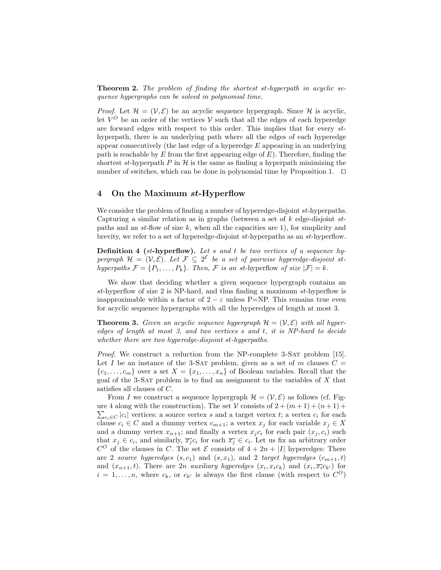Theorem 2. The problem of finding the shortest st-hyperpath in acyclic sequence hypergraphs can be solved in polynomial time.

*Proof.* Let  $\mathcal{H} = (\mathcal{V}, \mathcal{E})$  be an acyclic sequence hypergraph. Since  $\mathcal{H}$  is acyclic, let  $V^O$  be an order of the vertices  $V$  such that all the edges of each hyperedge are forward edges with respect to this order. This implies that for every sthyperpath, there is an underlying path where all the edges of each hyperedge appear consecutively (the last edge of a hyperedge E appearing in an underlying path is reachable by  $E$  from the first appearing edge of  $E$ ). Therefore, finding the shortest st-hyperpath  $P$  in  $H$  is the same as finding a hyperpath minimizing the number of switches, which can be done in polynomial time by Proposition 1.  $\Box$ 

#### 4 On the Maximum st-Hyperflow

We consider the problem of finding a number of hyperedge-disjoint st-hyperpaths. Capturing a similar relation as in graphs (between a set of  $k$  edge-disjoint stpaths and an st-flow of size k, when all the capacities are 1), for simplicity and brevity, we refer to a set of hyperedge-disjoint st-hyperpaths as an st-hyperflow.

**Definition 4 (st-hyperflow).** Let s and t be two vertices of a sequence hypergraph  $\mathcal{H} = (\mathcal{V}, \mathcal{E})$ . Let  $\mathcal{F} \subseteq 2^{\mathcal{E}}$  be a set of pairwise hyperedge-disjoint sthyperpaths  $\mathcal{F} = \{P_1, \ldots, P_k\}$ . Then,  $\mathcal{F}$  is an st-hyperflow of size  $|\mathcal{F}| = k$ .

We show that deciding whether a given sequence hypergraph contains an st-hyperflow of size 2 is NP-hard, and thus finding a maximum st-hyperflow is inapproximable within a factor of  $2 - \varepsilon$  unless P=NP. This remains true even for acyclic sequence hypergraphs with all the hyperedges of length at most 3.

**Theorem 3.** Given an acyclic sequence hypergraph  $\mathcal{H} = (\mathcal{V}, \mathcal{E})$  with all hyperedges of length at most 3, and two vertices s and t, it is NP-hard to decide whether there are two hyperedge-disjoint st-hyperpaths.

Proof. We construct a reduction from the NP-complete 3-SAT problem [15]. Let I be an instance of the 3-SAT problem, given as a set of m clauses  $C =$  ${c_1, \ldots, c_m}$  over a set  $X = {x_1, \ldots, x_n}$  of Boolean variables. Recall that the goal of the 3-SAT problem is to find an assignment to the variables of  $X$  that satisfies all clauses of C.

From I we construct a sequence hypergraph  $\mathcal{H} = (\mathcal{V}, \mathcal{E})$  as follows (cf. Figure 4 along with the construction). The set  $V$  consists of  $2 + (m+1) + (n+1) +$  $\sum_{c_i \in C} |c_i|$  vertices: a source vertex s and a target vertex t; a vertex  $c_i$  for each clause  $c_i \in C$  and a dummy vertex  $c_{m+1}$ ; a vertex  $x_j$  for each variable  $x_j \in X$ and a dummy vertex  $x_{n+1}$ ; and finally a vertex  $x_j c_i$  for each pair  $(x_j, c_i)$  such that  $x_j \in c_i$ , and similarly,  $\overline{x_j}c_i$  for each  $\overline{x_j} \in c_i$ . Let us fix an arbitrary order  $C^O$  of the clauses in C. The set  $\mathcal E$  consists of  $4 + 2n + |I|$  hyperedges: There are 2 source hyperedges  $(s, c_1)$  and  $(s, x_1)$ , and 2 target hyperedges  $(c_{m+1}, t)$ and  $(x_{n+1}, t)$ . There are 2*n* auxiliary hyperedges  $(x_i, x_i c_k)$  and  $(x_i, \overline{x_i} c_{k'})$  for  $i = 1, \ldots, n$ , where  $c_k$ , or  $c_{k'}$  is always the first clause (with respect to  $C^O$ )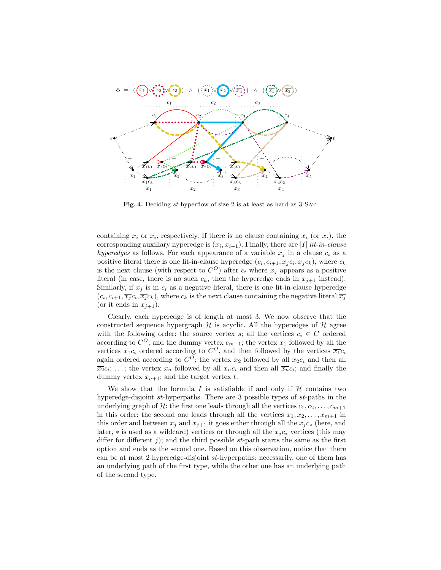

Fig. 4. Deciding st-hyperflow of size 2 is at least as hard as 3-SAT.

containing  $x_i$  or  $\overline{x_i}$ , respectively. If there is no clause containing  $x_i$  (or  $\overline{x_i}$ ), the corresponding auxiliary hyperedge is  $(x_i, x_{i+1})$ . Finally, there are |I| lit-in-clause hyperedges as follows. For each appearance of a variable  $x_j$  in a clause  $c_i$  as a positive literal there is one lit-in-clause hyperedge  $(c_i, c_{i+1}, x_j c_i, x_j c_k)$ , where  $c_k$ is the next clause (with respect to  $C^{O}$ ) after  $c_i$  where  $x_j$  appears as a positive literal (in case, there is no such  $c_k$ , then the hyperedge ends in  $x_{j+1}$  instead). Similarly, if  $x_j$  is in  $c_i$  as a negative literal, there is one lit-in-clause hyperedge  $(c_i, c_{i+1}, \overline{x_j}c_i, \overline{x_j}c_k)$ , where  $c_k$  is the next clause containing the negative literal  $\overline{x_j}$ (or it ends in  $x_{j+1}$ ).

Clearly, each hyperedge is of length at most 3. We now observe that the constructed sequence hypergraph  $H$  is acyclic. All the hyperedges of  $H$  agree with the following order: the source vertex s; all the vertices  $c_i \in C$  ordered according to  $C^O$ , and the dummy vertex  $c_{m+1}$ ; the vertex  $x_1$  followed by all the vertices  $x_1c_i$  ordered according to  $C^O$ , and then followed by the vertices  $\overline{x_1}c_i$ again ordered according to  $C^O$ ; the vertex  $x_2$  followed by all  $x_2c_i$  and then all  $\overline{x_2}c_i$ ; ...; the vertex  $x_n$  followed by all  $x_nc_i$  and then all  $\overline{x_n}c_i$ ; and finally the dummy vertex  $x_{n+1}$ ; and the target vertex t.

We show that the formula  $I$  is satisfiable if and only if  $H$  contains two hyperedge-disjoint st-hyperpaths. There are 3 possible types of st-paths in the underlying graph of H: the first one leads through all the vertices  $c_1, c_2, \ldots, c_{m+1}$ in this order; the second one leads through all the vertices  $x_1, x_2, \ldots, x_{m+1}$  in this order and between  $x_j$  and  $x_{j+1}$  it goes either through all the  $x_j c_*$  (here, and later,  $*$  is used as a wildcard) vertices or through all the  $\overline{x_i}c_*$  vertices (this may differ for different j; and the third possible st-path starts the same as the first option and ends as the second one. Based on this observation, notice that there can be at most 2 hyperedge-disjoint st-hyperpaths: necessarily, one of them has an underlying path of the first type, while the other one has an underlying path of the second type.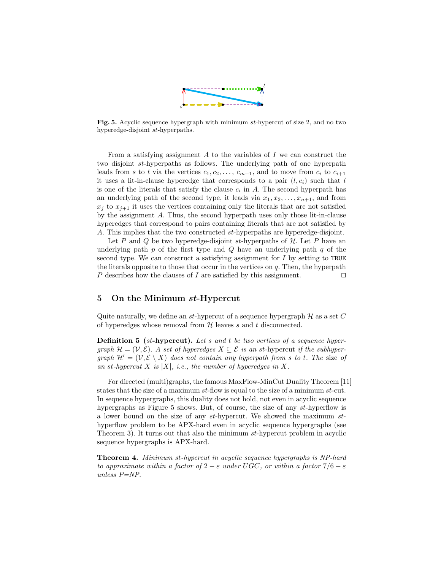

Fig. 5. Acyclic sequence hypergraph with minimum  $st$ -hypercut of size 2, and no two hyperedge-disjoint st-hyperpaths.

From a satisfying assignment  $A$  to the variables of  $I$  we can construct the two disjoint st-hyperpaths as follows. The underlying path of one hyperpath leads from s to t via the vertices  $c_1, c_2, \ldots, c_{m+1}$ , and to move from  $c_i$  to  $c_{i+1}$ it uses a lit-in-clause hyperedge that corresponds to a pair  $(l, c_i)$  such that l is one of the literals that satisfy the clause  $c_i$  in A. The second hyperpath has an underlying path of the second type, it leads via  $x_1, x_2, \ldots, x_{n+1}$ , and from  $x_i$  to  $x_{i+1}$  it uses the vertices containing only the literals that are not satisfied by the assignment A. Thus, the second hyperpath uses only those lit-in-clause hyperedges that correspond to pairs containing literals that are not satisfied by A. This implies that the two constructed st-hyperpaths are hyperedge-disjoint.

Let P and Q be two hyperedge-disjoint st-hyperpaths of  $H$ . Let P have an underlying path  $p$  of the first type and  $Q$  have an underlying path  $q$  of the second type. We can construct a satisfying assignment for  $I$  by setting to TRUE the literals opposite to those that occur in the vertices on  $q$ . Then, the hyperpath P describes how the clauses of I are satisfied by this assignment.  $\Box$ 

## 5 On the Minimum st-Hypercut

Quite naturally, we define an st-hypercut of a sequence hypergraph  $H$  as a set  $C$ of hyperedges whose removal from  $H$  leaves s and t disconnected.

**Definition 5** (st-hypercut). Let s and t be two vertices of a sequence hypergraph  $\mathcal{H} = (\mathcal{V}, \mathcal{E})$ . A set of hyperedges  $X \subseteq \mathcal{E}$  is an st-hypercut if the subhypergraph  $\mathcal{H}' = (\mathcal{V}, \mathcal{E} \setminus X)$  does not contain any hyperpath from s to t. The size of an st-hypercut X is  $|X|$ , i.e., the number of hyperedges in X.

For directed (multi)graphs, the famous MaxFlow-MinCut Duality Theorem [11] states that the size of a maximum st-flow is equal to the size of a minimum st-cut. In sequence hypergraphs, this duality does not hold, not even in acyclic sequence hypergraphs as Figure 5 shows. But, of course, the size of any st-hyperflow is a lower bound on the size of any st-hypercut. We showed the maximum sthyperflow problem to be APX-hard even in acyclic sequence hypergraphs (see Theorem 3). It turns out that also the minimum st-hypercut problem in acyclic sequence hypergraphs is APX-hard.

Theorem 4. Minimum st-hypercut in acyclic sequence hypergraphs is NP-hard to approximate within a factor of  $2 - \varepsilon$  under UGC, or within a factor  $7/6 - \varepsilon$ unless P=NP.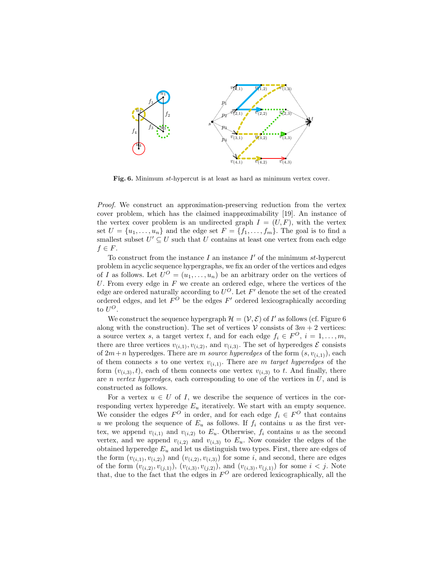

Fig. 6. Minimum st-hypercut is at least as hard as minimum vertex cover.

Proof. We construct an approximation-preserving reduction from the vertex cover problem, which has the claimed inapproximability [19]. An instance of the vertex cover problem is an undirected graph  $I = (U, F)$ , with the vertex set  $U = \{u_1, \ldots, u_n\}$  and the edge set  $F = \{f_1, \ldots, f_m\}$ . The goal is to find a smallest subset  $U' \subseteq U$  such that  $U$  contains at least one vertex from each edge  $f \in F$ .

To construct from the instance  $I$  an instance  $I'$  of the minimum st-hypercut problem in acyclic sequence hypergraphs, we fix an order of the vertices and edges of I as follows. Let  $U^O = (u_1, \ldots, u_n)$  be an arbitrary order on the vertices of U. From every edge in  $F$  we create an ordered edge, where the vertices of the edge are ordered naturally according to  $U^O$ . Let  $F'$  denote the set of the created ordered edges, and let  $F^O$  be the edges  $F'$  ordered lexicographically according to  $U^O$ .

We construct the sequence hypergraph  $\mathcal{H} = (\mathcal{V}, \mathcal{E})$  of  $I'$  as follows (cf. Figure 6) along with the construction). The set of vertices  $V$  consists of  $3m + 2$  vertices: a source vertex s, a target vertex t, and for each edge  $f_i \in F^O, i = 1, ..., m$ , there are three vertices  $v_{(i,1)}, v_{(i,2)}$ , and  $v_{(i,3)}$ . The set of hyperedges  $\mathcal E$  consists of  $2m+n$  hyperedges. There are m source hyperedges of the form  $(s, v_{(i,1)})$ , each of them connects s to one vertex  $v_{(i,1)}$ . There are m target hyperedges of the form  $(v_{(i,3)}, t)$ , each of them connects one vertex  $v_{(i,3)}$  to t. And finally, there are *n vertex hyperedges*, each corresponding to one of the vertices in  $U$ , and is constructed as follows.

For a vertex  $u \in U$  of I, we describe the sequence of vertices in the corresponding vertex hyperedge  $E_u$  iteratively. We start with an empty sequence. We consider the edges  $F^O$  in order, and for each edge  $f_i \in F^O$  that contains u we prolong the sequence of  $E_u$  as follows. If  $f_i$  contains u as the first vertex, we append  $v_{(i,1)}$  and  $v_{(i,2)}$  to  $E_u$ . Otherwise,  $f_i$  contains u as the second vertex, and we append  $v_{(i,2)}$  and  $v_{(i,3)}$  to  $E_u$ . Now consider the edges of the obtained hyperedge  $E_u$  and let us distinguish two types. First, there are edges of the form  $(v_{(i,1)}, v_{(i,2)})$  and  $(v_{(i,2)}, v_{(i,3)})$  for some i, and second, there are edges of the form  $(v_{(i,2)}, v_{(i,1)}), (v_{(i,3)}, v_{(i,2)}),$  and  $(v_{(i,3)}, v_{(i,1)})$  for some  $i < j$ . Note that, due to the fact that the edges in  $F^O$  are ordered lexicographically, all the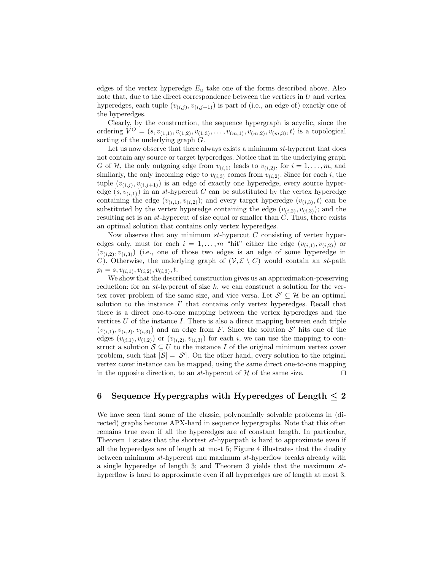edges of the vertex hyperedge  $E_u$  take one of the forms described above. Also note that, due to the direct correspondence between the vertices in  $U$  and vertex hyperedges, each tuple  $(v_{(i,j)}, v_{(i,j+1)})$  is part of (i.e., an edge of) exactly one of the hyperedges.

Clearly, by the construction, the sequence hypergraph is acyclic, since the ordering  $V^O = (s, v_{(1,1)}, v_{(1,2)}, v_{(1,3)}, \ldots, v_{(m,1)}, v_{(m,2)}, v_{(m,3)}, t)$  is a topological sorting of the underlying graph G.

Let us now observe that there always exists a minimum st-hypercut that does not contain any source or target hyperedges. Notice that in the underlying graph G of H, the only outgoing edge from  $v_{(i,1)}$  leads to  $v_{(i,2)}$ , for  $i=1,\ldots,m$ , and similarly, the only incoming edge to  $v_{(i,3)}$  comes from  $v_{(i,2)}$ . Since for each i, the tuple  $(v_{(i,j)}, v_{(i,j+1)})$  is an edge of exactly one hyperedge, every source hyperedge  $(s, v_{(i,1)})$  in an st-hypercut C can be substituted by the vertex hyperedge containing the edge  $(v_{(i,1)}, v_{(i,2)})$ ; and every target hyperedge  $(v_{(i,3)}, t)$  can be substituted by the vertex hyperedge containing the edge  $(v_{(i,2)}, v_{(i,3)})$ ; and the resulting set is an st-hypercut of size equal or smaller than C. Thus, there exists an optimal solution that contains only vertex hyperedges.

Now observe that any minimum st-hypercut C consisting of vertex hyperedges only, must for each  $i = 1, \ldots, m$  "hit" either the edge  $(v_{(i,1)}, v_{(i,2)})$  or  $(v_{(i,2)}, v_{(i,3)})$  (i.e., one of those two edges is an edge of some hyperedge in C). Otherwise, the underlying graph of  $(\mathcal{V}, \mathcal{E} \setminus C)$  would contain an st-path  $p_i = s, v_{(i,1)}, v_{(i,2)}, v_{(i,3)}, t.$ 

We show that the described construction gives us an approximation-preserving reduction: for an  $st$ -hypercut of size  $k$ , we can construct a solution for the vertex cover problem of the same size, and vice versa. Let  $\mathcal{S}' \subseteq \mathcal{H}$  be an optimal solution to the instance  $I'$  that contains only vertex hyperedges. Recall that there is a direct one-to-one mapping between the vertex hyperedges and the vertices  $U$  of the instance  $I$ . There is also a direct mapping between each triple  $(v_{(i,1)}, v_{(i,2)}, v_{(i,3)})$  and an edge from F. Since the solution S' hits one of the edges  $(v_{(i,1)}, v_{(i,2)})$  or  $(v_{(i,2)}, v_{(i,3)})$  for each i, we can use the mapping to construct a solution  $S \subseteq U$  to the instance I of the original minimum vertex cover problem, such that  $|S| = |S'|$ . On the other hand, every solution to the original vertex cover instance can be mapped, using the same direct one-to-one mapping in the opposite direction, to an st-hypercut of H of the same size.  $\Box$ 

## 6 Sequence Hypergraphs with Hyperedges of Length  $\leq 2$

We have seen that some of the classic, polynomially solvable problems in (directed) graphs become APX-hard in sequence hypergraphs. Note that this often remains true even if all the hyperedges are of constant length. In particular, Theorem 1 states that the shortest  $st$ -hyperpath is hard to approximate even if all the hyperedges are of length at most 5; Figure 4 illustrates that the duality between minimum st-hypercut and maximum st-hyperflow breaks already with a single hyperedge of length 3; and Theorem 3 yields that the maximum sthyperflow is hard to approximate even if all hyperedges are of length at most 3.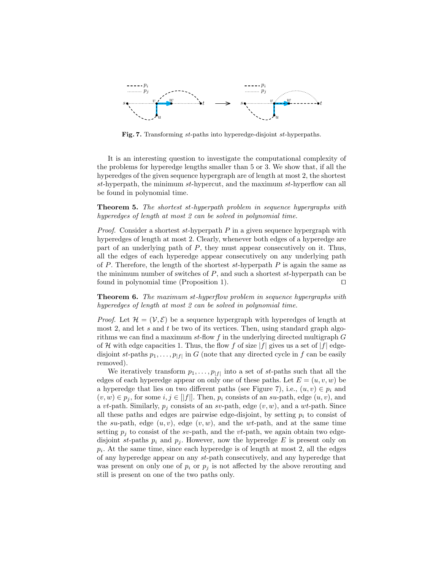

Fig. 7. Transforming st-paths into hyperedge-disjoint st-hyperpaths.

It is an interesting question to investigate the computational complexity of the problems for hyperedge lengths smaller than 5 or 3. We show that, if all the hyperedges of the given sequence hypergraph are of length at most 2, the shortest st-hyperpath, the minimum st-hypercut, and the maximum st-hyperflow can all be found in polynomial time.

Theorem 5. The shortest st-hyperpath problem in sequence hypergraphs with hyperedges of length at most 2 can be solved in polynomial time.

*Proof.* Consider a shortest  $st$ -hyperpath P in a given sequence hypergraph with hyperedges of length at most 2. Clearly, whenever both edges of a hyperedge are part of an underlying path of  $P$ , they must appear consecutively on it. Thus, all the edges of each hyperedge appear consecutively on any underlying path of  $P$ . Therefore, the length of the shortest  $st$ -hyperpath  $P$  is again the same as the minimum number of switches of  $P$ , and such a shortest  $st$ -hyperpath can be found in polynomial time (Proposition 1).  $\Box$ 

Theorem 6. The maximum st-hyperflow problem in sequence hypergraphs with hyperedges of length at most 2 can be solved in polynomial time.

*Proof.* Let  $\mathcal{H} = (\mathcal{V}, \mathcal{E})$  be a sequence hypergraph with hyperedges of length at most 2, and let s and t be two of its vertices. Then, using standard graph algorithms we can find a maximum st-flow f in the underlying directed multigraph  $G$ of H with edge capacities 1. Thus, the flow f of size |f| gives us a set of |f| edgedisjoint st-paths  $p_1, \ldots, p_{|f|}$  in G (note that any directed cycle in f can be easily removed).

We iteratively transform  $p_1, \ldots, p_{|f|}$  into a set of st-paths such that all the edges of each hyperedge appear on only one of these paths. Let  $E = (u, v, w)$  be a hyperedge that lies on two different paths (see Figure 7), i.e.,  $(u, v) \in p_i$  and  $(v, w) \in p_i$ , for some  $i, j \in ||f||$ . Then,  $p_i$  consists of an su-path, edge  $(u, v)$ , and a vt-path. Similarly,  $p_i$  consists of an sv-path, edge  $(v, w)$ , and a wt-path. Since all these paths and edges are pairwise edge-disjoint, by setting  $p_i$  to consist of the su-path, edge  $(u, v)$ , edge  $(v, w)$ , and the wt-path, and at the same time setting  $p_i$  to consist of the sv-path, and the vt-path, we again obtain two edgedisjoint st-paths  $p_i$  and  $p_j$ . However, now the hyperedge E is present only on  $p_i$ . At the same time, since each hyperedge is of length at most 2, all the edges of any hyperedge appear on any st-path consecutively, and any hyperedge that was present on only one of  $p_i$  or  $p_j$  is not affected by the above rerouting and still is present on one of the two paths only.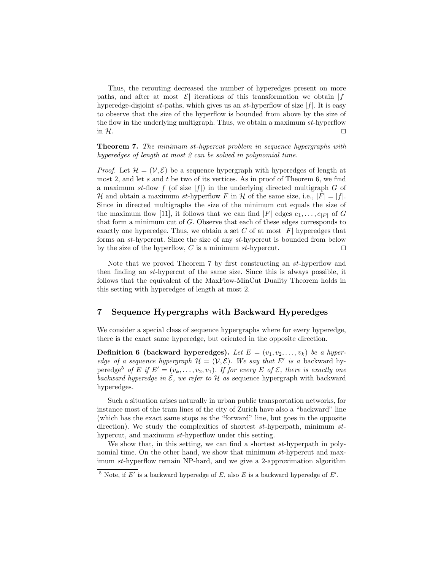Thus, the rerouting decreased the number of hyperedges present on more paths, and after at most  $|\mathcal{E}|$  iterations of this transformation we obtain  $|f|$ hyperedge-disjoint st-paths, which gives us an st-hyperflow of size  $|f|$ . It is easy to observe that the size of the hyperflow is bounded from above by the size of the flow in the underlying multigraph. Thus, we obtain a maximum st-hyperflow in  $\mathcal{H}.$ 

Theorem 7. The minimum st-hypercut problem in sequence hypergraphs with hyperedges of length at most 2 can be solved in polynomial time.

*Proof.* Let  $\mathcal{H} = (\mathcal{V}, \mathcal{E})$  be a sequence hypergraph with hyperedges of length at most 2, and let s and t be two of its vertices. As in proof of Theorem 6, we find a maximum st-flow f (of size  $|f|$ ) in the underlying directed multigraph G of H and obtain a maximum st-hyperflow F in H of the same size, i.e.,  $|F| = |f|$ . Since in directed multigraphs the size of the minimum cut equals the size of the maximum flow [11], it follows that we can find |F| edges  $e_1, \ldots, e_{|F|}$  of G that form a minimum cut of G. Observe that each of these edges corresponds to exactly one hyperedge. Thus, we obtain a set C of at most  $|F|$  hyperedges that forms an st-hypercut. Since the size of any st-hypercut is bounded from below by the size of the hyperflow,  $C$  is a minimum st-hypercut.  $\square$ 

Note that we proved Theorem 7 by first constructing an st-hyperflow and then finding an st-hypercut of the same size. Since this is always possible, it follows that the equivalent of the MaxFlow-MinCut Duality Theorem holds in this setting with hyperedges of length at most 2.

# 7 Sequence Hypergraphs with Backward Hyperedges

We consider a special class of sequence hypergraphs where for every hyperedge, there is the exact same hyperedge, but oriented in the opposite direction.

**Definition 6 (backward hyperedges).** Let  $E = (v_1, v_2, \ldots, v_k)$  be a hyperedge of a sequence hypergraph  $\mathcal{H} = (\mathcal{V}, \mathcal{E})$ . We say that E' is a backward hyperedge<sup>5</sup> of E if  $E' = (v_k, \ldots, v_2, v_1)$ . If for every E of  $\mathcal{E}$ , there is exactly one backward hyperedge in  $\mathcal{E}$ , we refer to  $\mathcal{H}$  as sequence hypergraph with backward hyperedges.

Such a situation arises naturally in urban public transportation networks, for instance most of the tram lines of the city of Zurich have also a "backward" line (which has the exact same stops as the "forward" line, but goes in the opposite direction). We study the complexities of shortest st-hyperpath, minimum sthypercut, and maximum st-hyperflow under this setting.

We show that, in this setting, we can find a shortest  $st$ -hyperpath in polynomial time. On the other hand, we show that minimum st-hypercut and maximum st-hyperflow remain NP-hard, and we give a 2-approximation algorithm

<sup>&</sup>lt;sup>5</sup> Note, if  $E'$  is a backward hyperedge of  $E$ , also  $E$  is a backward hyperedge of  $E'$ .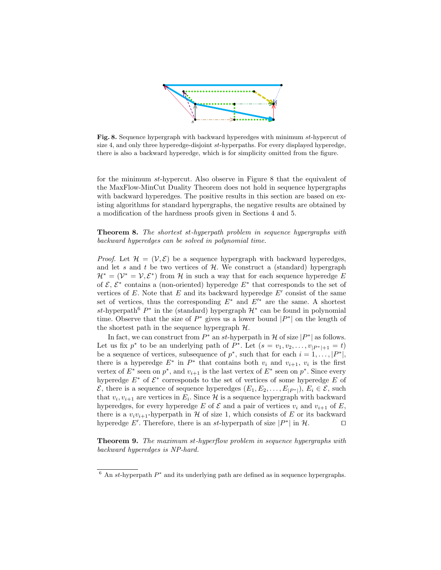

Fig. 8. Sequence hypergraph with backward hyperedges with minimum st-hypercut of size 4, and only three hyperedge-disjoint st-hyperpaths. For every displayed hyperedge, there is also a backward hyperedge, which is for simplicity omitted from the figure.

for the minimum st-hypercut. Also observe in Figure 8 that the equivalent of the MaxFlow-MinCut Duality Theorem does not hold in sequence hypergraphs with backward hyperedges. The positive results in this section are based on existing algorithms for standard hypergraphs, the negative results are obtained by a modification of the hardness proofs given in Sections 4 and 5.

Theorem 8. The shortest st-hyperpath problem in sequence hypergraphs with backward hyperedges can be solved in polynomial time.

*Proof.* Let  $\mathcal{H} = (\mathcal{V}, \mathcal{E})$  be a sequence hypergraph with backward hyperedges, and let s and t be two vertices of  $H$ . We construct a (standard) hypergraph  $\mathcal{H}^* = (\mathcal{V}^* = \mathcal{V}, \mathcal{E}^*)$  from  $\mathcal{H}$  in such a way that for each sequence hyperedge E of  $\mathcal{E}, \mathcal{E}^*$  contains a (non-oriented) hyperedge  $E^*$  that corresponds to the set of vertices of  $E$ . Note that  $E$  and its backward hyperedge  $E'$  consist of the same set of vertices, thus the corresponding  $E^*$  and  $E'^*$  are the same. A shortest st-hyperpath<sup>6</sup>  $P^*$  in the (standard) hypergraph  $\mathcal{H}^*$  can be found in polynomial time. Observe that the size of  $P^*$  gives us a lower bound  $|P^*|$  on the length of the shortest path in the sequence hypergraph  $H$ .

In fact, we can construct from  $P^*$  an st-hyperpath in  $\mathcal H$  of size  $|P^*|$  as follows. Let us fix  $p^*$  to be an underlying path of  $P^*$ . Let  $(s = v_1, v_2, \ldots, v_{|P^*|+1} = t)$ be a sequence of vertices, subsequence of  $p^*$ , such that for each  $i = 1, ..., |P^*|$ , there is a hyperedge  $E^*$  in  $P^*$  that contains both  $v_i$  and  $v_{i+1}$ ,  $v_i$  is the first vertex of  $E^*$  seen on  $p^*$ , and  $v_{i+1}$  is the last vertex of  $E^*$  seen on  $p^*$ . Since every hyperedge  $E^*$  of  $\mathcal{E}^*$  corresponds to the set of vertices of some hyperedge  $E$  of  $\mathcal{E}$ , there is a sequence of sequence hyperedges  $(E_1, E_2, \ldots, E_{|P^*|}), E_i \in \mathcal{E}$ , such that  $v_i, v_{i+1}$  are vertices in  $E_i$ . Since  $\mathcal H$  is a sequence hypergraph with backward hyperedges, for every hyperedge E of  $\mathcal E$  and a pair of vertices  $v_i$  and  $v_{i+1}$  of E, there is a  $v_i v_{i+1}$ -hyperpath in  $H$  of size 1, which consists of E or its backward hyperedge E'. Therefore, there is an st-hyperpath of size  $|P^*|$  in  $H$ . hyperedge E'. Therefore, there is an st-hyperpath of size  $|P^*|$  in  $\mathcal{H}$ .

Theorem 9. The maximum st-hyperflow problem in sequence hypergraphs with backward hyperedges is NP-hard.

 $6$  An st-hyperpath  $P^*$  and its underlying path are defined as in sequence hypergraphs.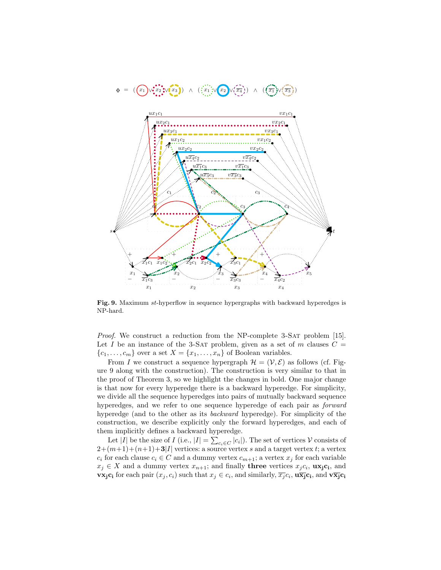

Fig. 9. Maximum st-hyperflow in sequence hypergraphs with backward hyperedges is NP-hard.

Proof. We construct a reduction from the NP-complete 3-SAT problem [15]. Let I be an instance of the 3-SAT problem, given as a set of m clauses  $C =$  $\{c_1, \ldots, c_m\}$  over a set  $X = \{x_1, \ldots, x_n\}$  of Boolean variables.

From I we construct a sequence hypergraph  $\mathcal{H} = (\mathcal{V}, \mathcal{E})$  as follows (cf. Figure 9 along with the construction). The construction is very similar to that in the proof of Theorem 3, so we highlight the changes in bold. One major change is that now for every hyperedge there is a backward hyperedge. For simplicity, we divide all the sequence hyperedges into pairs of mutually backward sequence hyperedges, and we refer to one sequence hyperedge of each pair as forward hyperedge (and to the other as its backward hyperedge). For simplicity of the construction, we describe explicitly only the forward hyperedges, and each of them implicitly defines a backward hyperedge.

Let |I| be the size of I (i.e.,  $|I| = \sum_{c_i \in C} |c_i|$ ). The set of vertices V consists of  $2+(m+1)+(n+1)+3|I|$  vertices: a source vertex s and a target vertex t; a vertex  $c_i$  for each clause  $c_i \in C$  and a dummy vertex  $c_{m+1}$ ; a vertex  $x_j$  for each variable  $x_j \in X$  and a dummy vertex  $x_{n+1}$ ; and finally **three** vertices  $x_j c_i$ , **uxjc**<sub>i</sub>, and **vx**<sub>j</sub>c<sub>i</sub> for each pair  $(x_j, c_i)$  such that  $x_j \in c_i$ , and similarly,  $\overline{x_j}c_i$ ,  $\overline{\mathbf{u}x_j}c_i$ , and  $\overline{\mathbf{v}x_j}c_i$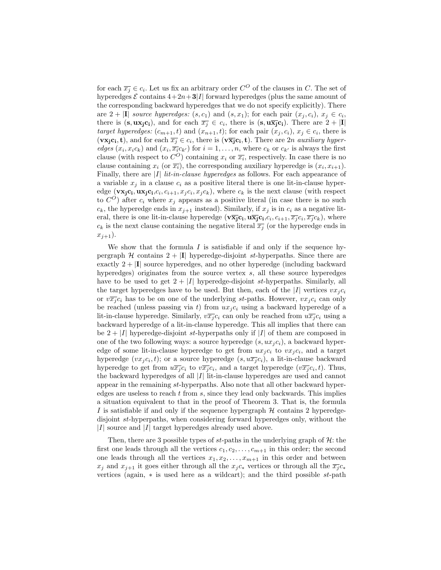for each  $\overline{x_j} \in c_i$ . Let us fix an arbitrary order  $C^O$  of the clauses in C. The set of hyperedges  $\mathcal E$  contains  $4+2n+3|I|$  forward hyperedges (plus the same amount of the corresponding backward hyperedges that we do not specify explicitly). There are 2 + |**I**| source hyperedges:  $(s, c_1)$  and  $(s, x_1)$ ; for each pair  $(x_j, c_i)$ ,  $x_j \in c_i$ , there is  $(\mathbf{s}, \mathbf{u}\mathbf{x}_j\mathbf{c}_i)$ , and for each  $\overline{x}_j \in c_i$ , there is  $(\mathbf{s}, \mathbf{u}\overline{\mathbf{x}_j}\mathbf{c}_i)$ . There are  $2 + |\mathbf{I}|$ target hyperedges:  $(c_{m+1}, t)$  and  $(x_{n+1}, t)$ ; for each pair  $(x_j, c_i)$ ,  $x_j \in c_i$ , there is  $(v \mathbf{x}_j \mathbf{c}_i, \mathbf{t})$ , and for each  $\overline{x_j} \in c_i$ , there is  $(v \overline{\mathbf{x}_j} \mathbf{c}_i, \mathbf{t})$ . There are 2*n auxiliary hyper*edges  $(x_i, x_i c_k)$  and  $(x_i, \overline{x_i} c_{k'})$  for  $i = 1, ..., n$ , where  $c_k$  or  $c_{k'}$  is always the first clause (with respect to  $C^O$ ) containing  $x_i$  or  $\overline{x_i}$ , respectively. In case there is no clause containing  $x_i$  (or  $\overline{x_i}$ ), the corresponding auxiliary hyperedge is  $(x_i, x_{i+1})$ . Finally, there are  $|I|$  *lit-in-clause hyperedges* as follows. For each appearance of a variable  $x_j$  in a clause  $c_i$  as a positive literal there is one lit-in-clause hyperedge ( $\mathbf{vx}_j\mathbf{c}_i, \mathbf{ux}_j\mathbf{c}_i, c_i, c_{i+1}, x_jc_i, x_jc_k$ ), where  $c_k$  is the next clause (with respect to  $C^{O}$ ) after  $c_i$  where  $x_j$  appears as a positive literal (in case there is no such  $c_k$ , the hyperedge ends in  $x_{j+1}$  instead). Similarly, if  $x_j$  is in  $c_i$  as a negative literal, there is one lit-in-clause hyperedge  $(\mathbf{v}\overline{\mathbf{x}}_j\mathbf{c}_i, \mathbf{u}\overline{\mathbf{x}}_j\mathbf{c}_i, c_i, c_{i+1}, \overline{x_j}c_i, \overline{x_j}c_k)$ , where  $c_k$  is the next clause containing the negative literal  $\overline{x_i}$  (or the hyperedge ends in  $x_{i+1}$ ).

We show that the formula  $I$  is satisfiable if and only if the sequence hypergraph H contains  $2 + |I|$  hyperedge-disjoint st-hyperpaths. Since there are exactly  $2 + |I|$  source hyperedges, and no other hyperedge (including backward hyperedges) originates from the source vertex s, all these source hyperedges have to be used to get  $2 + |I|$  hyperedge-disjoint st-hyperpaths. Similarly, all the target hyperedges have to be used. But then, each of the |I| vertices  $vx_ic_i$ or  $v\overline{x_i}c_i$  has to be on one of the underlying st-paths. However,  $vx_ic_i$  can only be reached (unless passing via t) from  $ux_j c_i$  using a backward hyperedge of a lit-in-clause hyperedge. Similarly,  $v\overline{x_i}c_i$  can only be reached from  $u\overline{x_i}c_i$  using a backward hyperedge of a lit-in-clause hyperedge. This all implies that there can be  $2 + |I|$  hyperedge-disjoint st-hyperpaths only if  $|I|$  of them are composed in one of the two following ways: a source hyperedge  $(s, ux_j c_i)$ , a backward hyperedge of some lit-in-clause hyperedge to get from  $ux_jc_i$  to  $vx_jc_i$ , and a target hyperedge  $(vx_jc_i,t)$ ; or a source hyperedge  $(s, u\overline{x_j}c_i)$ , a lit-in-clause backward hyperedge to get from  $u\overline{x_j}c_i$  to  $v\overline{x_j}c_i$ , and a target hyperedge  $(v\overline{x_j}c_i,t)$ . Thus, the backward hyperedges of all  $|I|$  lit-in-clause hyperedges are used and cannot appear in the remaining st-hyperpaths. Also note that all other backward hyperedges are useless to reach t from s, since they lead only backwards. This implies a situation equivalent to that in the proof of Theorem 3. That is, the formula I is satisfiable if and only if the sequence hypergraph  $H$  contains 2 hyperedgedisjoint st-hyperpaths, when considering forward hyperedges only, without the  $|I|$  source and  $|I|$  target hyperedges already used above.

Then, there are 3 possible types of  $st$ -paths in the underlying graph of  $H$ : the first one leads through all the vertices  $c_1, c_2, \ldots, c_{m+1}$  in this order; the second one leads through all the vertices  $x_1, x_2, \ldots, x_{m+1}$  in this order and between  $x_j$  and  $x_{j+1}$  it goes either through all the  $x_j c_*$  vertices or through all the  $\overline{x_j} c_*$ vertices (again, ∗ is used here as a wildcart); and the third possible st-path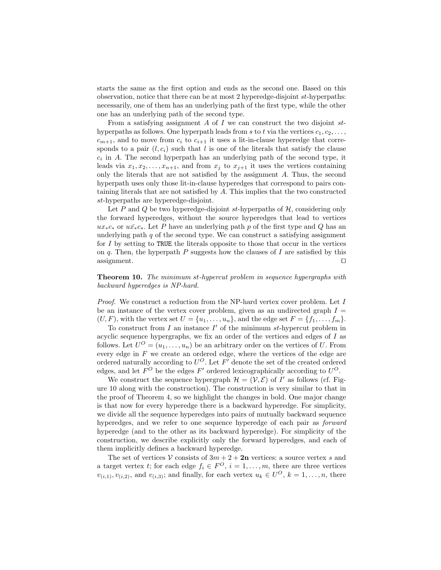starts the same as the first option and ends as the second one. Based on this observation, notice that there can be at most 2 hyperedge-disjoint st-hyperpaths: necessarily, one of them has an underlying path of the first type, while the other one has an underlying path of the second type.

From a satisfying assignment A of I we can construct the two disjoint  $st$ hyperpaths as follows. One hyperpath leads from s to t via the vertices  $c_1, c_2, \ldots$ ,  $c_{m+1}$ , and to move from  $c_i$  to  $c_{i+1}$  it uses a lit-in-clause hyperedge that corresponds to a pair  $(l, c_i)$  such that l is one of the literals that satisfy the clause  $c_i$  in A. The second hyperpath has an underlying path of the second type, it leads via  $x_1, x_2, \ldots, x_{n+1}$ , and from  $x_j$  to  $x_{j+1}$  it uses the vertices containing only the literals that are not satisfied by the assignment A. Thus, the second hyperpath uses only those lit-in-clause hyperedges that correspond to pairs containing literals that are not satisfied by A. This implies that the two constructed st-hyperpaths are hyperedge-disjoint.

Let P and Q be two hyperedge-disjoint st-hyperpaths of  $H$ , considering only the forward hyperedges, without the source hyperedges that lead to vertices  $ux_*c_*$  or  $u\bar{x}_*c_*$ . Let P have an underlying path p of the first type and Q has an underlying path  $q$  of the second type. We can construct a satisfying assignment for  $I$  by setting to TRUE the literals opposite to those that occur in the vertices on q. Then, the hyperpath P suggests how the clauses of I are satisfied by this  $\Box$ assignment.

Theorem 10. The minimum st-hypercut problem in sequence hypergraphs with backward hyperedges is NP-hard.

Proof. We construct a reduction from the NP-hard vertex cover problem. Let I be an instance of the vertex cover problem, given as an undirected graph  $I =$  $(U, F)$ , with the vertex set  $U = \{u_1, \ldots, u_n\}$ , and the edge set  $F = \{f_1, \ldots, f_m\}$ .

To construct from  $I$  an instance  $I'$  of the minimum st-hypercut problem in acyclic sequence hypergraphs, we fix an order of the vertices and edges of I as follows. Let  $U^O = (u_1, \ldots, u_n)$  be an arbitrary order on the vertices of U. From every edge in  $F$  we create an ordered edge, where the vertices of the edge are ordered naturally according to  $U^O$ . Let  $F'$  denote the set of the created ordered edges, and let  $F^O$  be the edges  $F'$  ordered lexicographically according to  $U^O$ .

We construct the sequence hypergraph  $\mathcal{H} = (\mathcal{V}, \mathcal{E})$  of  $I'$  as follows (cf. Figure 10 along with the construction). The construction is very similar to that in the proof of Theorem 4, so we highlight the changes in bold. One major change is that now for every hyperedge there is a backward hyperedge. For simplicity, we divide all the sequence hyperedges into pairs of mutually backward sequence hyperedges, and we refer to one sequence hyperedge of each pair as forward hyperedge (and to the other as its backward hyperedge). For simplicity of the construction, we describe explicitly only the forward hyperedges, and each of them implicitly defines a backward hyperedge.

The set of vertices V consists of  $3m + 2 + 2n$  vertices: a source vertex s and a target vertex t; for each edge  $f_i \in F^O$ ,  $i = 1, ..., m$ , there are three vertices  $v_{(i,1)}, v_{(i,2)}$ , and  $v_{(i,3)}$ ; and finally, for each vertex  $u_k \in U^O$ ,  $k = 1, \ldots, n$ , there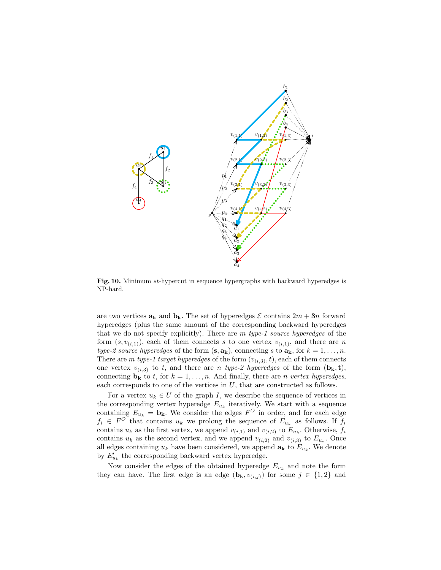

Fig. 10. Minimum st-hypercut in sequence hypergraphs with backward hyperedges is NP-hard.

are two vertices  $a_k$  and  $b_k$ . The set of hyperedges  $\mathcal E$  contains  $2m + 3n$  forward hyperedges (plus the same amount of the corresponding backward hyperedges that we do not specify explicitly). There are m type-1 source hyperedges of the form  $(s, v_{(i,1)})$ , each of them connects s to one vertex  $v_{(i,1)}$ , and there are n type-2 source hyperedges of the form  $(s, a_k)$ , connecting s to  $a_k$ , for  $k = 1, ..., n$ . There are m type-1 target hyperedges of the form  $(v_{(i,3)}, t)$ , each of them connects one vertex  $v_{(i,3)}$  to t, and there are n type-2 hyperedges of the form  $(\mathbf{b}_k, \mathbf{t})$ , connecting  $\mathbf{b_k}$  to t, for  $k = 1, ..., n$ . And finally, there are *n vertex hyperedges*, each corresponds to one of the vertices in  $U$ , that are constructed as follows.

For a vertex  $u_k \in U$  of the graph I, we describe the sequence of vertices in the corresponding vertex hyperedge  $E_{u_k}$  iteratively. We start with a sequence containing  $E_{u_k} = \mathbf{b_k}$ . We consider the edges  $F^O$  in order, and for each edge  $f_i \in F^O$  that contains  $u_k$  we prolong the sequence of  $E_{u_k}$  as follows. If  $f_i$ contains  $u_k$  as the first vertex, we append  $v_{(i,1)}$  and  $v_{(i,2)}$  to  $E_{u_k}$ . Otherwise,  $f_i$ contains  $u_k$  as the second vertex, and we append  $v_{(i,2)}$  and  $v_{(i,3)}$  to  $E_{u_k}$ . Once all edges containing  $u_k$  have been considered, we append  $\mathbf{a_k}$  to  $E_{u_k}$ . We denote by  $E'_{u_k}$  the corresponding backward vertex hyperedge.

Now consider the edges of the obtained hyperedge  $E_{u_k}$  and note the form they can have. The first edge is an edge  $(\mathbf{b}_k, v_{(i,j)})$  for some  $j \in \{1,2\}$  and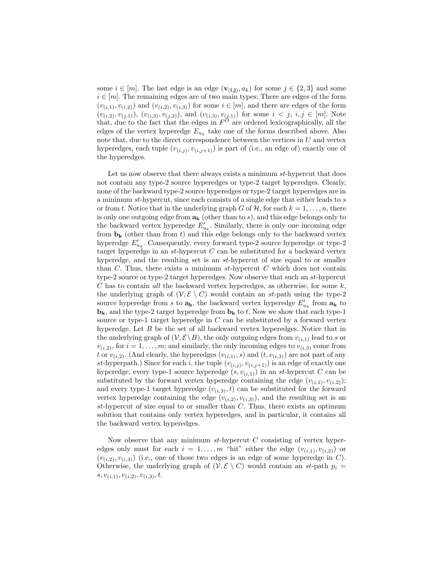some  $i \in [m]$ . The last edge is an edge  $(\mathbf{v}_{(i,j)}, a_k)$  for some  $j \in \{2,3\}$  and some  $i \in [m]$ . The remaining edges are of two main types: There are edges of the form  $(v_{(i,1)}, v_{(i,2)})$  and  $(v_{(i,2)}, v_{(i,3)})$  for some  $i \in [m]$ , and there are edges of the form  $(v_{(i,2)}, v_{(j,1)}), (v_{(i,3)}, v_{(j,2)}),$  and  $(v_{(i,3)}, v_{(j,1)})$  for some  $i < j$ ,  $i, j \in [m]$ . Note that, due to the fact that the edges in  $F^O$  are ordered lexicographically, all the edges of the vertex hyperedge  $E_{u_k}$  take one of the forms described above. Also note that, due to the direct correspondence between the vertices in  $U$  and vertex hyperedges, each tuple  $(v_{(i,j)}, v_{(i,j+1)})$  is part of (i.e., an edge of) exactly one of the hyperedges.

Let us now observe that there always exists a minimum st-hypercut that does not contain any type-2 source hyperedges or type-2 target hyperedges. Clearly, none of the backward type-2 source hyperedges or type-2 target hyperedges are in a minimum st-hypercut, since each consists of a single edge that either leads to s or from t. Notice that in the underlying graph G of H, for each  $k = 1, \ldots, n$ , there is only one outgoing edge from  $a_k$  (other than to s), and this edge belongs only to the backward vertex hyperedge  $E'_{u_k}$ . Similarly, there is only one incoming edge from  $\mathbf{b}_k$  (other than from t) and this edge belongs only to the backward vertex hyperedge  $E'_{u_k}$ . Consequently, every forward type-2 source hyperedge or type-2 target hyperedge in an  $st$ -hypercut  $C$  can be substituted for a backward vertex hyperedge, and the resulting set is an st-hypercut of size equal to or smaller than  $C$ . Thus, there exists a minimum st-hypercut  $C$  which does not contain type-2 source or type-2 target hyperedges. Now observe that such an st-hypercut C has to contain all the backward vertex hyperedges, as otherwise, for some  $k$ , the underlying graph of  $(\mathcal{V}, \mathcal{E} \setminus C)$  would contain an st-path using the type-2 source hyperedge from  $s$  to  $\mathbf{a_k}$ , the backward vertex hyperedge  $E'_{u_k}$  from  $\mathbf{a_k}$  to **, and the type-2 target hyperedge from**  $**b**<sub>k</sub>$  **to t. Now we show that each type-1** source or type-1 target hyperedge in  $C$  can be substituted by a forward vertex hyperedge. Let B be the set of all backward vertex hyperedges. Notice that in the underlying graph of  $(\mathcal{V}, \mathcal{E} \setminus B)$ , the only outgoing edges from  $v_{(i,1)}$  lead to s or  $v_{(i,2)}$ , for  $i = 1, \ldots, m$ ; and similarly, the only incoming edges to  $v_{(i,3)}$  come from t or  $v_{(i,2)}$ . (And clearly, the hyperedges  $(v_{(i,1)}, s)$  and  $(t, v_{(i,3)})$  are not part of any st-hyperpath.) Since for each i, the tuple  $(v_{(i,j)}, v_{(i,j+1)})$  is an edge of exactly one hyperedge, every type-1 source hyperedge  $(s, v_{(i,1)})$  in an st-hypercut C can be substituted by the forward vertex hyperedge containing the edge  $(v_{(i,1)}, v_{(i,2)})$ ; and every type-1 target hyperedge  $(v_{(i,3)}, t)$  can be substituted for the forward vertex hyperedge containing the edge  $(v_{(i,2)}, v_{(i,3)})$ , and the resulting set is an st-hypercut of size equal to or smaller than  $C$ . Thus, there exists an optimum solution that contains only vertex hyperedges, and in particular, it contains all the backward vertex hyperedges.

Now observe that any minimum  $st$ -hypercut  $C$  consisting of vertex hyperedges only must for each  $i = 1, \ldots, m$  "hit" either the edge  $(v_{(i,1)}, v_{(i,2)})$  or  $(v_{(i,2)}, v_{(i,3)})$  (i.e., one of those two edges is an edge of some hyperedge in C). Otherwise, the underlying graph of  $(\mathcal{V}, \mathcal{E} \setminus C)$  would contain an st-path  $p_i =$  $s, v_{(i,1)}, v_{(i,2)}, v_{(i,3)}, t.$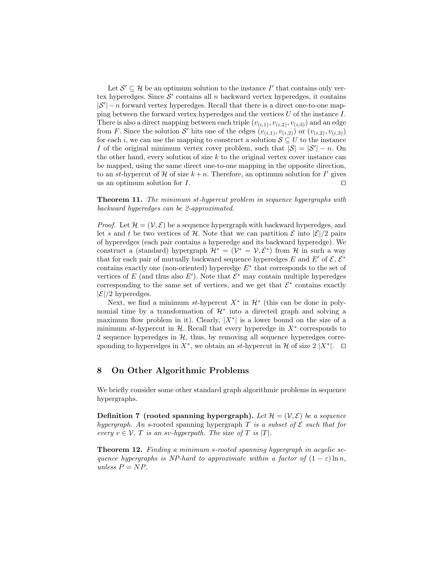Let  $\mathcal{S}' \subseteq \mathcal{H}$  be an optimum solution to the instance  $I'$  that contains only vertex hyperedges. Since  $S'$  contains all n backward vertex hyperedges, it contains  $|\mathcal{S}'|-n$  forward vertex hyperedges. Recall that there is a direct one-to-one mapping between the forward vertex hyperedges and the vertices  $U$  of the instance  $I$ . There is also a direct mapping between each triple  $(v_{(i,1)}, v_{(i,2)}, v_{(i,3)})$  and an edge from F. Since the solution  $\mathcal{S}'$  hits one of the edges  $(v_{(i,1)}, v_{(i,2)})$  or  $(v_{(i,2)}, v_{(i,3)})$ for each i, we can use the mapping to construct a solution  $S \subseteq U$  to the instance I of the original minimum vertex cover problem, such that  $|S| = |S'| - n$ . On the other hand, every solution of size  $k$  to the original vertex cover instance can be mapped, using the same direct one-to-one mapping in the opposite direction, to an st-hypercut of  $H$  of size  $k+n$ . Therefore, an optimum solution for  $I'$  gives us an optimum solution for  $I$ .

Theorem 11. The minimum st-hypercut problem in sequence hypergraphs with backward hyperedges can be 2-approximated.

*Proof.* Let  $\mathcal{H} = (\mathcal{V}, \mathcal{E})$  be a sequence hypergraph with backward hyperedges, and let s and t be two vertices of H. Note that we can partition  $\mathcal{E}$  into  $|\mathcal{E}|/2$  pairs of hyperedges (each pair contains a hyperedge and its backward hyperedge). We construct a (standard) hypergraph  $\mathcal{H}^* = (\mathcal{V}^* = \mathcal{V}, \mathcal{E}^*)$  from  $\mathcal{H}$  in such a way that for each pair of mutually backward sequence hyperedges  $E$  and  $E'$  of  $\mathcal{E}, \mathcal{E}^*$ contains exactly one (non-oriented) hyperedge  $E^*$  that corresponds to the set of vertices of E (and thus also E'). Note that  $\mathcal{E}^*$  may contain multiple hyperedges corresponding to the same set of vertices, and we get that  $\mathcal{E}^*$  contains exactly  $|\mathcal{E}|/2$  hyperedges.

Next, we find a minimum st-hypercut  $X^*$  in  $\mathcal{H}^*$  (this can be done in polynomial time by a transformation of  $\mathcal{H}^*$  into a directed graph and solving a maximum flow problem in it). Clearly,  $|X^*|$  is a lower bound on the size of a minimum st-hypercut in  $H$ . Recall that every hyperedge in  $X^*$  corresponds to 2 sequence hyperedges in  $H$ , thus, by removing all sequence hyperedges corresponding to hyperedges in  $X^*$ , we obtain an st-hypercut in  $\mathcal H$  of size 2  $|X^*|$ .  $\Box$ 

## 8 On Other Algorithmic Problems

We briefly consider some other standard graph algorithmic problems in sequence hypergraphs.

**Definition 7** (rooted spanning hypergraph). Let  $\mathcal{H} = (\mathcal{V}, \mathcal{E})$  be a sequence hypergraph. An s-rooted spanning hypergraph T is a subset of  $\mathcal E$  such that for every  $v \in V$ , T is an sv-hyperpath. The size of T is |T|.

Theorem 12. Finding a minimum s-rooted spanning hypergraph in acyclic sequence hypergraphs is NP-hard to approximate within a factor of  $(1 - \varepsilon) \ln n$ , unless  $P = NP$ .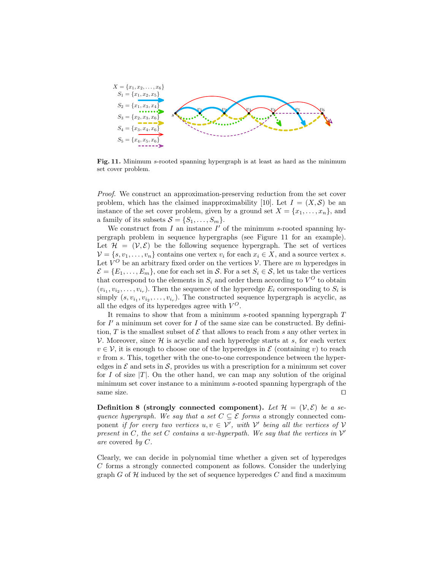![](_page_21_Figure_0.jpeg)

Fig. 11. Minimum s-rooted spanning hypergraph is at least as hard as the minimum set cover problem.

Proof. We construct an approximation-preserving reduction from the set cover problem, which has the claimed inapproximability [10]. Let  $I = (X, S)$  be an instance of the set cover problem, given by a ground set  $X = \{x_1, \ldots, x_n\}$ , and a family of its subsets  $S = \{S_1, \ldots, S_m\}.$ 

We construct from  $I$  an instance  $I'$  of the minimum s-rooted spanning hypergraph problem in sequence hypergraphs (see Figure 11 for an example). Let  $\mathcal{H} = (\mathcal{V}, \mathcal{E})$  be the following sequence hypergraph. The set of vertices  $\mathcal{V} = \{s, v_1, \ldots, v_n\}$  contains one vertex  $v_i$  for each  $x_i \in X$ , and a source vertex s. Let  $V^O$  be an arbitrary fixed order on the vertices  $\mathcal V$ . There are m hyperedges in  $\mathcal{E} = \{E_1, \ldots, E_m\}$ , one for each set in S. For a set  $S_i \in \mathcal{S}$ , let us take the vertices that correspond to the elements in  $S_i$  and order them according to  $V^O$  to obtain  $(v_{i_1}, v_{i_2}, \ldots, v_{i_r})$ . Then the sequence of the hyperedge  $E_i$  corresponding to  $S_i$  is simply  $(s, v_{i_1}, v_{i_2}, \ldots, v_{i_r})$ . The constructed sequence hypergraph is acyclic, as all the edges of its hyperedges agree with  $V^O$ .

It remains to show that from a minimum s-rooted spanning hypergraph T for  $I'$  a minimum set cover for  $I$  of the same size can be constructed. By definition, T is the smallest subset of  $\mathcal E$  that allows to reach from s any other vertex in V. Moreover, since  $H$  is acyclic and each hyperedge starts at s, for each vertex  $v \in V$ , it is enough to choose one of the hyperedges in  $\mathcal{E}$  (containing v) to reach  $v$  from  $s$ . This, together with the one-to-one correspondence between the hyperedges in  $\mathcal E$  and sets in  $\mathcal S$ , provides us with a prescription for a minimum set cover for I of size  $|T|$ . On the other hand, we can map any solution of the original minimum set cover instance to a minimum s-rooted spanning hypergraph of the same size.  $\square$ 

Definition 8 (strongly connected component). Let  $\mathcal{H} = (\mathcal{V}, \mathcal{E})$  be a sequence hypergraph. We say that a set  $C \subseteq \mathcal{E}$  forms a strongly connected component if for every two vertices  $u, v \in V'$ , with  $V'$  being all the vertices of V present in C, the set C contains a uv-hyperpath. We say that the vertices in  $\mathcal{V}'$ are covered by C.

Clearly, we can decide in polynomial time whether a given set of hyperedges C forms a strongly connected component as follows. Consider the underlying graph G of  $\mathcal H$  induced by the set of sequence hyperedges C and find a maximum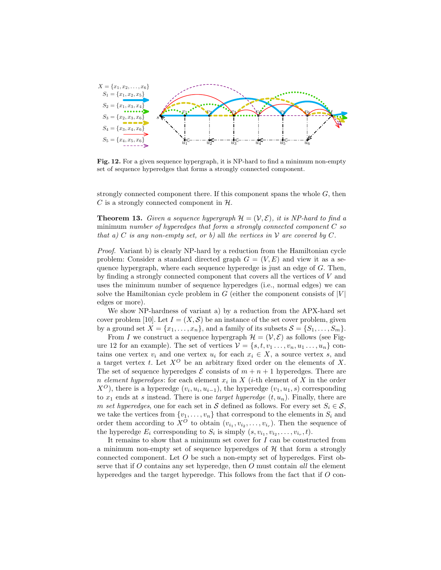![](_page_22_Figure_0.jpeg)

Fig. 12. For a given sequence hypergraph, it is NP-hard to find a minimum non-empty set of sequence hyperedges that forms a strongly connected component.

strongly connected component there. If this component spans the whole  $G$ , then C is a strongly connected component in  $\mathcal{H}$ .

**Theorem 13.** Given a sequence hypergraph  $\mathcal{H} = (\mathcal{V}, \mathcal{E})$ , it is NP-hard to find a minimum number of hyperedges that form a strongly connected component  $C$  so that a) C is any non-empty set, or b) all the vertices in V are covered by C.

Proof. Variant b) is clearly NP-hard by a reduction from the Hamiltonian cycle problem: Consider a standard directed graph  $G = (V, E)$  and view it as a sequence hypergraph, where each sequence hyperedge is just an edge of  $G$ . Then, by finding a strongly connected component that covers all the vertices of V and uses the minimum number of sequence hyperedges (i.e., normal edges) we can solve the Hamiltonian cycle problem in  $G$  (either the component consists of  $|V|$ edges or more).

We show NP-hardness of variant a) by a reduction from the APX-hard set cover problem [10]. Let  $I = (X, S)$  be an instance of the set cover problem, given by a ground set  $X = \{x_1, \ldots, x_n\}$ , and a family of its subsets  $S = \{S_1, \ldots, S_m\}$ .

From I we construct a sequence hypergraph  $\mathcal{H} = (\mathcal{V}, \mathcal{E})$  as follows (see Figure 12 for an example). The set of vertices  $V = \{s, t, v_1, \ldots, v_n, u_1, \ldots, u_n\}$  contains one vertex  $v_i$  and one vertex  $u_i$  for each  $x_i \in X$ , a source vertex s, and a target vertex t. Let  $X^O$  be an arbitrary fixed order on the elements of X. The set of sequence hyperedges  $\mathcal E$  consists of  $m + n + 1$  hyperedges. There are n element hyperedges: for each element  $x_i$  in X (*i*-th element of X in the order  $X^{O}$ ), there is a hyperedge  $(v_i, u_i, u_{i-1})$ , the hyperedge  $(v_1, u_1, s)$  corresponding to  $x_1$  ends at s instead. There is one target hyperedge  $(t, u_n)$ . Finally, there are m set hyperedges, one for each set in S defined as follows. For every set  $S_i \in \mathcal{S}$ , we take the vertices from  $\{v_1, \ldots, v_n\}$  that correspond to the elements in  $S_i$  and order them according to  $X^O$  to obtain  $(v_{i_1}, v_{i_2}, \ldots, v_{i_r})$ . Then the sequence of the hyperedge  $E_i$  corresponding to  $S_i$  is simply  $(s, v_{i_1}, v_{i_2}, \ldots, v_{i_r}, t)$ .

It remains to show that a minimum set cover for I can be constructed from a minimum non-empty set of sequence hyperedges of  $H$  that form a strongly connected component. Let  $O$  be such a non-empty set of hyperedges. First observe that if  $O$  contains any set hyperedge, then  $O$  must contain all the element hyperedges and the target hyperedge. This follows from the fact that if O con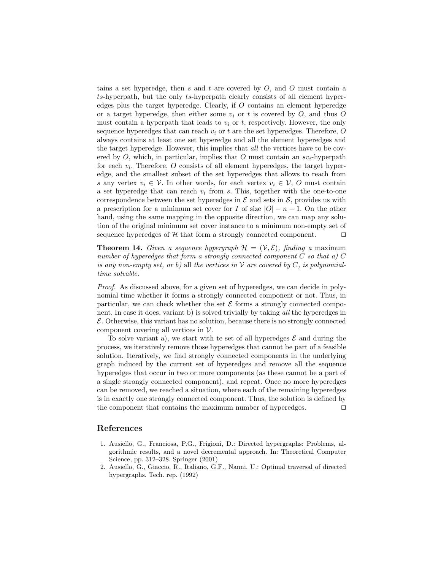tains a set hyperedge, then s and t are covered by  $O$ , and  $O$  must contain a ts-hyperpath, but the only ts-hyperpath clearly consists of all element hyperedges plus the target hyperedge. Clearly, if  $O$  contains an element hyperedge or a target hyperedge, then either some  $v_i$  or t is covered by O, and thus O must contain a hyperpath that leads to  $v_i$  or  $t$ , respectively. However, the only sequence hyperedges that can reach  $v_i$  or t are the set hyperedges. Therefore,  $O$ always contains at least one set hyperedge and all the element hyperedges and the target hyperedge. However, this implies that all the vertices have to be covered by O, which, in particular, implies that O must contain an  $sv_i$ -hyperpath for each  $v_i$ . Therefore, O consists of all element hyperedges, the target hyperedge, and the smallest subset of the set hyperedges that allows to reach from s any vertex  $v_i \in V$ . In other words, for each vertex  $v_i \in V$ , O must contain a set hyperedge that can reach  $v_i$  from s. This, together with the one-to-one correspondence between the set hyperedges in  $\mathcal E$  and sets in  $\mathcal S$ , provides us with a prescription for a minimum set cover for I of size  $|O| - n - 1$ . On the other hand, using the same mapping in the opposite direction, we can map any solution of the original minimum set cover instance to a minimum non-empty set of sequence hyperedges of  $\mathcal H$  that form a strongly connected component.  $\Box$ 

**Theorem 14.** Given a sequence hypergraph  $\mathcal{H} = (\mathcal{V}, \mathcal{E})$ , finding a maximum number of hyperedges that form a strongly connected component  $C$  so that a)  $C$ is any non-empty set, or b) all the vertices in  $V$  are covered by  $C$ , is polynomialtime solvable.

Proof. As discussed above, for a given set of hyperedges, we can decide in polynomial time whether it forms a strongly connected component or not. Thus, in particular, we can check whether the set  $\mathcal E$  forms a strongly connected component. In case it does, variant b) is solved trivially by taking all the hyperedges in  $\mathcal E$ . Otherwise, this variant has no solution, because there is no strongly connected component covering all vertices in  $\mathcal V$ .

To solve variant a), we start with te set of all hyperedges  $\mathcal E$  and during the process, we iteratively remove those hyperedges that cannot be part of a feasible solution. Iteratively, we find strongly connected components in the underlying graph induced by the current set of hyperedges and remove all the sequence hyperedges that occur in two or more components (as these cannot be a part of a single strongly connected component), and repeat. Once no more hyperedges can be removed, we reached a situation, where each of the remaining hyperedges is in exactly one strongly connected component. Thus, the solution is defined by the component that contains the maximum number of hyperedges.  $\Box$ 

#### References

- 1. Ausiello, G., Franciosa, P.G., Frigioni, D.: Directed hypergraphs: Problems, algorithmic results, and a novel decremental approach. In: Theoretical Computer Science, pp. 312–328. Springer (2001)
- 2. Ausiello, G., Giaccio, R., Italiano, G.F., Nanni, U.: Optimal traversal of directed hypergraphs. Tech. rep. (1992)